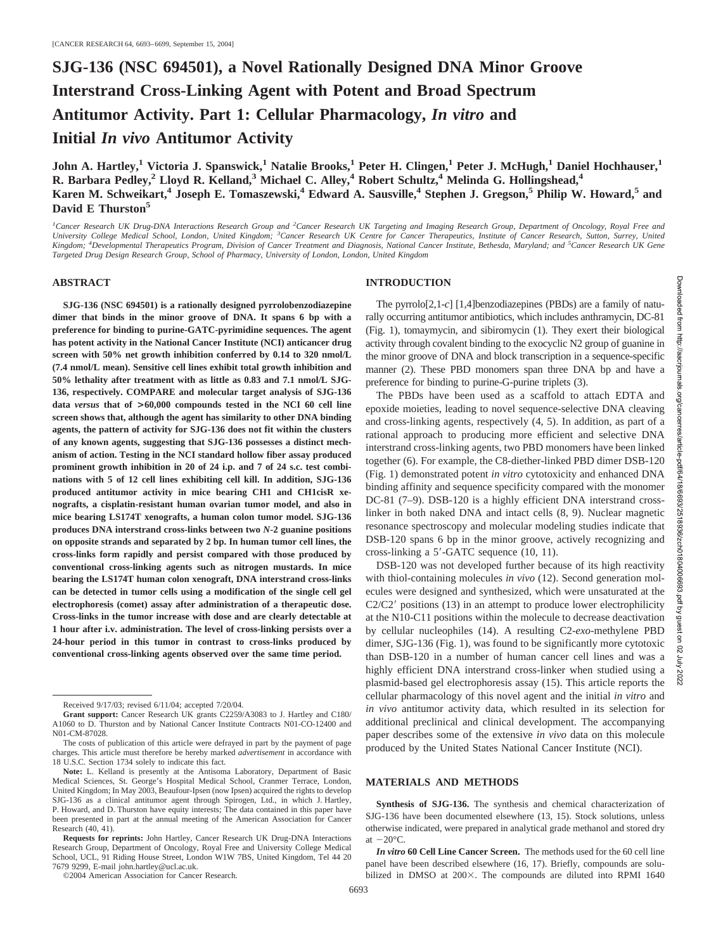# **SJG-136 (NSC 694501), a Novel Rationally Designed DNA Minor Groove Interstrand Cross-Linking Agent with Potent and Broad Spectrum Antitumor Activity. Part 1: Cellular Pharmacology,** *In vitro* **and Initial** *In vivo* **Antitumor Activity**

**John A. Hartley,1 Victoria J. Spanswick,1 Natalie Brooks,1 Peter H. Clingen,1 Peter J. McHugh,1 Daniel Hochhauser,1 R. Barbara Pedley,2 Lloyd R. Kelland,3 Michael C. Alley,4 Robert Schultz,4 Melinda G. Hollingshead,4 Karen M. Schweikart,**<sup>4</sup> **Joseph E. Tomaszewski,**<sup>4</sup> **Edward A. Sausville,**<sup>4</sup> **Stephen J. Gregson,**<sup>5</sup> **Philip W. Howard,**<sup>5</sup> and **David E Thurston5**

<sup>1</sup> Cancer Research UK Drug-DNA Interactions Research Group and <sup>2</sup> Cancer Research UK Targeting and Imaging Research Group, Department of Oncology, Royal Free and *University College Medical School, London, United Kingdom; <sup>3</sup> Cancer Research UK Centre for Cancer Therapeutics, Institute of Cancer Research, Sutton, Surrey, United Kingdom; <sup>4</sup> Developmental Therapeutics Program, Division of Cancer Treatment and Diagnosis, National Cancer Institute, Bethesda, Maryland; and <sup>5</sup> Cancer Research UK Gene Targeted Drug Design Research Group, School of Pharmacy, University of London, London, United Kingdom*

#### **ABSTRACT**

**SJG-136 (NSC 694501) is a rationally designed pyrrolobenzodiazepine dimer that binds in the minor groove of DNA. It spans 6 bp with a preference for binding to purine-GATC-pyrimidine sequences. The agent has potent activity in the National Cancer Institute (NCI) anticancer drug screen with 50% net growth inhibition conferred by 0.14 to 320 nmol/L (7.4 nmol/L mean). Sensitive cell lines exhibit total growth inhibition and 50% lethality after treatment with as little as 0.83 and 7.1 nmol/L SJG-136, respectively. COMPARE and molecular target analysis of SJG-136 data** *versus* **that of >60,000 compounds tested in the NCI 60 cell line screen shows that, although the agent has similarity to other DNA binding agents, the pattern of activity for SJG-136 does not fit within the clusters of any known agents, suggesting that SJG-136 possesses a distinct mechanism of action. Testing in the NCI standard hollow fiber assay produced prominent growth inhibition in 20 of 24 i.p. and 7 of 24 s.c. test combinations with 5 of 12 cell lines exhibiting cell kill. In addition, SJG-136 produced antitumor activity in mice bearing CH1 and CH1cisR xenografts, a cisplatin-resistant human ovarian tumor model, and also in mice bearing LS174T xenografts, a human colon tumor model. SJG-136 produces DNA interstrand cross-links between two** *N***-2 guanine positions on opposite strands and separated by 2 bp. In human tumor cell lines, the cross-links form rapidly and persist compared with those produced by conventional cross-linking agents such as nitrogen mustards. In mice bearing the LS174T human colon xenograft, DNA interstrand cross-links can be detected in tumor cells using a modification of the single cell gel electrophoresis (comet) assay after administration of a therapeutic dose. Cross-links in the tumor increase with dose and are clearly detectable at 1 hour after i.v. administration. The level of cross-linking persists over a 24-hour period in this tumor in contrast to cross-links produced by conventional cross-linking agents observed over the same time period.**

©2004 American Association for Cancer Research.

### **INTRODUCTION**

The pyrrolo[2,1-*c*] [1,4]benzodiazepines (PBDs) are a family of naturally occurring antitumor antibiotics, which includes anthramycin, DC-81 (Fig. 1), tomaymycin, and sibiromycin (1). They exert their biological activity through covalent binding to the exocyclic N2 group of guanine in the minor groove of DNA and block transcription in a sequence-specific manner (2). These PBD monomers span three DNA bp and have a preference for binding to purine-G-purine triplets (3).

The PBDs have been used as a scaffold to attach EDTA and epoxide moieties, leading to novel sequence-selective DNA cleaving and cross-linking agents, respectively (4, 5). In addition, as part of a rational approach to producing more efficient and selective DNA interstrand cross-linking agents, two PBD monomers have been linked together (6). For example, the C8-diether-linked PBD dimer DSB-120 (Fig. 1) demonstrated potent *in vitro* cytotoxicity and enhanced DNA binding affinity and sequence specificity compared with the monomer DC-81 (7–9). DSB-120 is a highly efficient DNA interstrand crosslinker in both naked DNA and intact cells (8, 9). Nuclear magnetic resonance spectroscopy and molecular modeling studies indicate that DSB-120 spans 6 bp in the minor groove, actively recognizing and cross-linking a 5'-GATC sequence (10, 11).

DSB-120 was not developed further because of its high reactivity with thiol-containing molecules *in vivo* (12). Second generation molecules were designed and synthesized, which were unsaturated at the C2/C2' positions (13) in an attempt to produce lower electrophilicity at the N10-C11 positions within the molecule to decrease deactivation by cellular nucleophiles (14). A resulting C2-*exo*-methylene PBD dimer, SJG-136 (Fig. 1), was found to be significantly more cytotoxic than DSB-120 in a number of human cancer cell lines and was a highly efficient DNA interstrand cross-linker when studied using a plasmid-based gel electrophoresis assay (15). This article reports the cellular pharmacology of this novel agent and the initial *in vitro* and *in vivo* antitumor activity data, which resulted in its selection for additional preclinical and clinical development. The accompanying paper describes some of the extensive *in vivo* data on this molecule produced by the United States National Cancer Institute (NCI).

#### **MATERIALS AND METHODS**

**Synthesis of SJG-136.** The synthesis and chemical characterization of SJG-136 have been documented elsewhere (13, 15). Stock solutions, unless otherwise indicated, were prepared in analytical grade methanol and stored dry at  $-20^{\circ}$ C.

*In vitro* **60 Cell Line Cancer Screen.** The methods used for the 60 cell line panel have been described elsewhere (16, 17). Briefly, compounds are solubilized in DMSO at  $200\times$ . The compounds are diluted into RPMI 1640

Received 9/17/03; revised 6/11/04; accepted 7/20/04.

**Grant support:** Cancer Research UK grants C2259/A3083 to J. Hartley and C180/ A1060 to D. Thurston and by National Cancer Institute Contracts N01-CO-12400 and N01-CM-87028.

The costs of publication of this article were defrayed in part by the payment of page charges. This article must therefore be hereby marked *advertisement* in accordance with 18 U.S.C. Section 1734 solely to indicate this fact.

**Note:** L. Kelland is presently at the Antisoma Laboratory, Department of Basic Medical Sciences, St. George's Hospital Medical School, Cranmer Terrace, London, United Kingdom; In May 2003, Beaufour-Ipsen (now Ipsen) acquired the rights to develop SJG-136 as a clinical antitumor agent through Spirogen, Ltd., in which J. Hartley, P. Howard, and D. Thurston have equity interests; The data contained in this paper have been presented in part at the annual meeting of the American Association for Cancer Research (40, 41).

**Requests for reprints:** John Hartley, Cancer Research UK Drug-DNA Interactions Research Group, Department of Oncology, Royal Free and University College Medical School, UCL, 91 Riding House Street, London W1W 7BS, United Kingdom, Tel 44 20 7679 9299, E-mail john.hartley@ucl.ac.uk.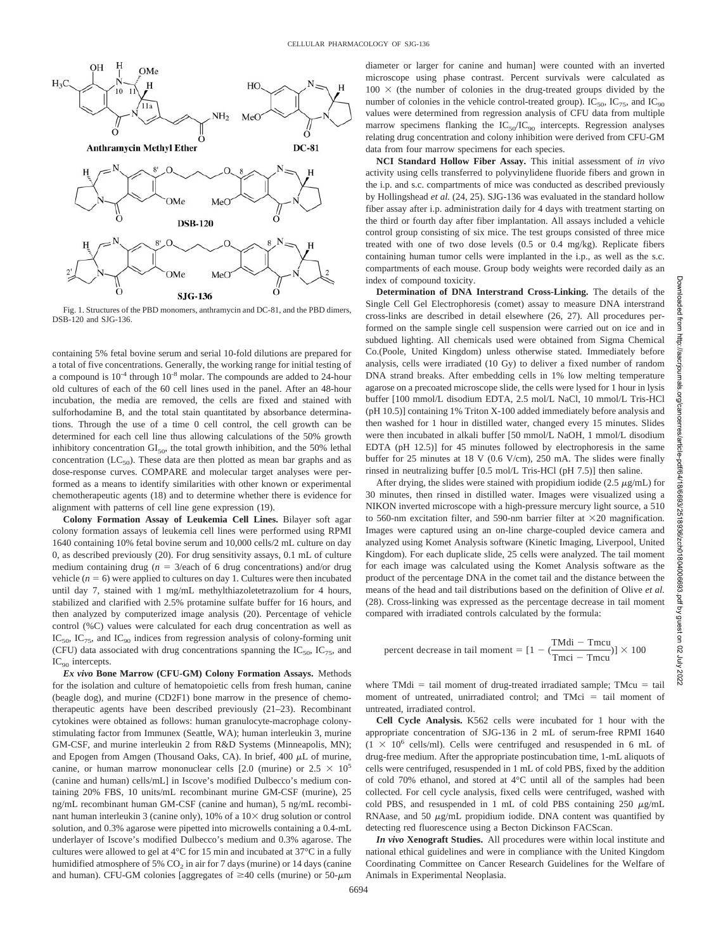

Fig. 1. Structures of the PBD monomers, anthramycin and DC-81, and the PBD dimers, DSB-120 and SJG-136.

containing 5% fetal bovine serum and serial 10-fold dilutions are prepared for a total of five concentrations. Generally, the working range for initial testing of a compound is  $10^{-4}$  through  $10^{-8}$  molar. The compounds are added to 24-hour old cultures of each of the 60 cell lines used in the panel. After an 48-hour incubation, the media are removed, the cells are fixed and stained with sulforhodamine B, and the total stain quantitated by absorbance determinations. Through the use of a time 0 cell control, the cell growth can be determined for each cell line thus allowing calculations of the 50% growth inhibitory concentration  $GI<sub>50</sub>$ , the total growth inhibition, and the 50% lethal concentration  $(LC_{50})$ . These data are then plotted as mean bar graphs and as dose-response curves. COMPARE and molecular target analyses were performed as a means to identify similarities with other known or experimental chemotherapeutic agents (18) and to determine whether there is evidence for alignment with patterns of cell line gene expression (19).

**Colony Formation Assay of Leukemia Cell Lines.** Bilayer soft agar colony formation assays of leukemia cell lines were performed using RPMI 1640 containing 10% fetal bovine serum and 10,000 cells/2 mL culture on day 0, as described previously (20). For drug sensitivity assays, 0.1 mL of culture medium containing drug ( $n = 3$ /each of 6 drug concentrations) and/or drug vehicle  $(n = 6)$  were applied to cultures on day 1. Cultures were then incubated until day 7, stained with 1 mg/mL methylthiazoletetrazolium for 4 hours, stabilized and clarified with 2.5% protamine sulfate buffer for 16 hours, and then analyzed by computerized image analysis (20). Percentage of vehicle control (%C) values were calculated for each drug concentration as well as  $IC_{50}$ ,  $IC_{75}$ , and  $IC_{90}$  indices from regression analysis of colony-forming unit (CFU) data associated with drug concentrations spanning the  $IC_{50}$ ,  $IC_{75}$ , and IC<sub>90</sub> intercepts.

*Ex vivo* **Bone Marrow (CFU-GM) Colony Formation Assays.** Methods for the isolation and culture of hematopoietic cells from fresh human, canine (beagle dog), and murine (CD2F1) bone marrow in the presence of chemotherapeutic agents have been described previously (21–23). Recombinant cytokines were obtained as follows: human granulocyte-macrophage colonystimulating factor from Immunex (Seattle, WA); human interleukin 3, murine GM-CSF, and murine interleukin 2 from R&D Systems (Minneapolis, MN); and Epogen from Amgen (Thousand Oaks, CA). In brief,  $400 \mu L$  of murine, canine, or human marrow mononuclear cells [2.0 (murine) or  $2.5 \times 10^5$ (canine and human) cells/mL] in Iscove's modified Dulbecco's medium containing 20% FBS, 10 units/mL recombinant murine GM-CSF (murine), 25 ng/mL recombinant human GM-CSF (canine and human), 5 ng/mL recombinant human interleukin 3 (canine only),  $10\%$  of a  $10\times$  drug solution or control solution, and 0.3% agarose were pipetted into microwells containing a 0.4-mL underlayer of Iscove's modified Dulbecco's medium and 0.3% agarose. The cultures were allowed to gel at 4°C for 15 min and incubated at 37°C in a fully humidified atmosphere of 5%  $CO<sub>2</sub>$  in air for 7 days (murine) or 14 days (canine and human). CFU-GM colonies [aggregates of  $\geq$ 40 cells (murine) or 50- $\mu$ m

diameter or larger for canine and human] were counted with an inverted microscope using phase contrast. Percent survivals were calculated as  $100 \times$  (the number of colonies in the drug-treated groups divided by the number of colonies in the vehicle control-treated group).  $IC_{50}$ ,  $IC_{75}$ , and  $IC_{90}$ values were determined from regression analysis of CFU data from multiple marrow specimens flanking the  $IC_{50}/IC_{90}$  intercepts. Regression analyses relating drug concentration and colony inhibition were derived from CFU-GM data from four marrow specimens for each species.

**NCI Standard Hollow Fiber Assay.** This initial assessment of *in vivo* activity using cells transferred to polyvinylidene fluoride fibers and grown in the i.p. and s.c. compartments of mice was conducted as described previously by Hollingshead *et al.* (24, 25). SJG-136 was evaluated in the standard hollow fiber assay after i.p. administration daily for 4 days with treatment starting on the third or fourth day after fiber implantation. All assays included a vehicle control group consisting of six mice. The test groups consisted of three mice treated with one of two dose levels (0.5 or 0.4 mg/kg). Replicate fibers containing human tumor cells were implanted in the i.p., as well as the s.c. compartments of each mouse. Group body weights were recorded daily as an index of compound toxicity.

**Determination of DNA Interstrand Cross-Linking.** The details of the Single Cell Gel Electrophoresis (comet) assay to measure DNA interstrand cross-links are described in detail elsewhere (26, 27). All procedures performed on the sample single cell suspension were carried out on ice and in subdued lighting. All chemicals used were obtained from Sigma Chemical Co.(Poole, United Kingdom) unless otherwise stated. Immediately before analysis, cells were irradiated (10 Gy) to deliver a fixed number of random DNA strand breaks. After embedding cells in 1% low melting temperature agarose on a precoated microscope slide, the cells were lysed for 1 hour in lysis buffer [100 mmol/L disodium EDTA, 2.5 mol/L NaCl, 10 mmol/L Tris-HCl (pH 10.5)] containing 1% Triton X-100 added immediately before analysis and then washed for 1 hour in distilled water, changed every 15 minutes. Slides were then incubated in alkali buffer [50 mmol/L NaOH, 1 mmol/L disodium EDTA (pH 12.5)] for 45 minutes followed by electrophoresis in the same buffer for 25 minutes at 18 V (0.6 V/cm), 250 mA. The slides were finally rinsed in neutralizing buffer [0.5 mol/L Tris-HCl (pH 7.5)] then saline.

After drying, the slides were stained with propidium iodide (2.5  $\mu$ g/mL) for 30 minutes, then rinsed in distilled water. Images were visualized using a NIKON inverted microscope with a high-pressure mercury light source, a 510 to 560-nm excitation filter, and 590-nm barrier filter at  $\times$ 20 magnification. Images were captured using an on-line charge-coupled device camera and analyzed using Komet Analysis software (Kinetic Imaging, Liverpool, United Kingdom). For each duplicate slide, 25 cells were analyzed. The tail moment for each image was calculated using the Komet Analysis software as the product of the percentage DNA in the comet tail and the distance between the means of the head and tail distributions based on the definition of Olive *et al.* (28). Cross-linking was expressed as the percentage decrease in tail moment compared with irradiated controls calculated by the formula:

percent decrease in tail moment = 
$$
[1 - (\frac{TMdi - Tmcu}{Tmci - Tmcu})] \times 100
$$

where  $TMidi = tail$  moment of drug-treated irradiated sample;  $TMcu = tail$ moment of untreated, unirradiated control; and  $TMci = tail$  moment of untreated, irradiated control.

**Cell Cycle Analysis.** K562 cells were incubated for 1 hour with the appropriate concentration of SJG-136 in 2 mL of serum-free RPMI 1640  $(1 \times 10^6 \text{ cells/ml})$ . Cells were centrifuged and resuspended in 6 mL of drug-free medium. After the appropriate postincubation time, 1-mL aliquots of cells were centrifuged, resuspended in 1 mL of cold PBS, fixed by the addition of cold 70% ethanol, and stored at 4°C until all of the samples had been collected. For cell cycle analysis, fixed cells were centrifuged, washed with cold PBS, and resuspended in 1 mL of cold PBS containing  $250 \mu g/mL$ RNAase, and 50  $\mu$ g/mL propidium iodide. DNA content was quantified by detecting red fluorescence using a Becton Dickinson FACScan.

*In vivo* **Xenograft Studies.** All procedures were within local institute and national ethical guidelines and were in compliance with the United Kingdom Coordinating Committee on Cancer Research Guidelines for the Welfare of Animals in Experimental Neoplasia.

Downloaded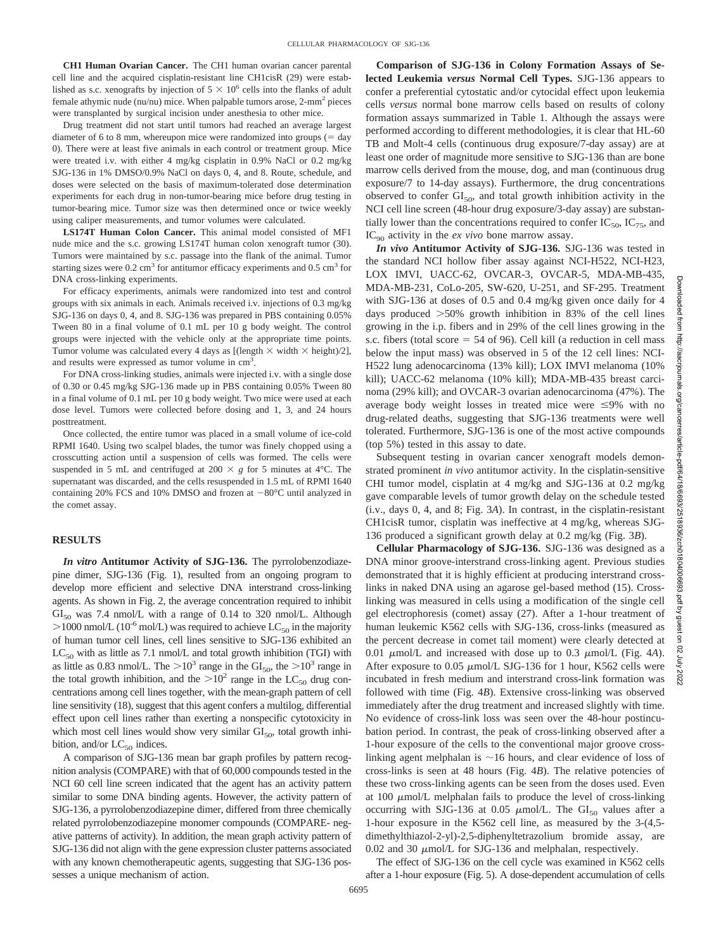**CH1 Human Ovarian Cancer.** The CH1 human ovarian cancer parental cell line and the acquired cisplatin-resistant line CH1cisR (29) were established as s.c. xenografts by injection of  $5 \times 10^6$  cells into the flanks of adult female athymic nude ( $nu/nu$ ) mice. When palpable tumors arose,  $2$ -mm<sup>2</sup> pieces were transplanted by surgical incision under anesthesia to other mice.

Drug treatment did not start until tumors had reached an average largest diameter of 6 to 8 mm, whereupon mice were randomized into groups  $($  = day 0). There were at least five animals in each control or treatment group. Mice were treated i.v. with either 4 mg/kg cisplatin in 0.9% NaCl or 0.2 mg/kg SJG-136 in 1% DMSO/0.9% NaCl on days 0, 4, and 8. Route, schedule, and doses were selected on the basis of maximum-tolerated dose determination experiments for each drug in non-tumor-bearing mice before drug testing in tumor-bearing mice. Tumor size was then determined once or twice weekly using caliper measurements, and tumor volumes were calculated.

**LS174T Human Colon Cancer.** This animal model consisted of MF1 nude mice and the s.c. growing LS174T human colon xenograft tumor (30). Tumors were maintained by s.c. passage into the flank of the animal. Tumor starting sizes were  $0.2 \text{ cm}^3$  for antitumor efficacy experiments and  $0.5 \text{ cm}^3$  for DNA cross-linking experiments.

For efficacy experiments, animals were randomized into test and control groups with six animals in each. Animals received i.v. injections of 0.3 mg/kg SJG-136 on days 0, 4, and 8. SJG-136 was prepared in PBS containing 0.05% Tween 80 in a final volume of 0.1 mL per 10 g body weight. The control groups were injected with the vehicle only at the appropriate time points. Tumor volume was calculated every 4 days as [(length  $\times$  width  $\times$  height)/2], and results were expressed as tumor volume in cm<sup>3</sup>.

For DNA cross-linking studies, animals were injected i.v. with a single dose of 0.30 or 0.45 mg/kg SJG-136 made up in PBS containing 0.05% Tween 80 in a final volume of 0.1 mL per 10 g body weight. Two mice were used at each dose level. Tumors were collected before dosing and 1, 3, and 24 hours posttreatment.

Once collected, the entire tumor was placed in a small volume of ice-cold RPMI 1640. Using two scalpel blades, the tumor was finely chopped using a crosscutting action until a suspension of cells was formed. The cells were suspended in 5 mL and centrifuged at 200  $\times$  g for 5 minutes at 4<sup>o</sup>C. The supernatant was discarded, and the cells resuspended in 1.5 mL of RPMI 1640 containing 20% FCS and 10% DMSO and frozen at  $-80^{\circ}$ C until analyzed in the comet assay.

## **RESULTS**

*In vitro* **Antitumor Activity of SJG-136.** The pyrrolobenzodiazepine dimer, SJG-136 (Fig. 1), resulted from an ongoing program to develop more efficient and selective DNA interstrand cross-linking agents. As shown in Fig. 2, the average concentration required to inhibit  $GI<sub>50</sub>$  was 7.4 nmol/L with a range of 0.14 to 320 nmol/L. Although  $>$ 1000 nmol/L (10<sup>-6</sup> mol/L) was required to achieve LC<sub>50</sub> in the majority of human tumor cell lines, cell lines sensitive to SJG-136 exhibited an  $LC_{50}$  with as little as 7.1 nmol/L and total growth inhibition (TGI) with as little as 0.83 nmol/L. The  $>10^3$  range in the GI<sub>50</sub>, the  $>10^3$  range in the total growth inhibition, and the  $>10^2$  range in the LC<sub>50</sub> drug concentrations among cell lines together, with the mean-graph pattern of cell line sensitivity (18), suggest that this agent confers a multilog, differential effect upon cell lines rather than exerting a nonspecific cytotoxicity in which most cell lines would show very similar  $GI<sub>50</sub>$ , total growth inhibition, and/or  $LC_{50}$  indices.

A comparison of SJG-136 mean bar graph profiles by pattern recognition analysis (COMPARE) with that of 60,000 compounds tested in the NCI 60 cell line screen indicated that the agent has an activity pattern similar to some DNA binding agents. However, the activity pattern of SJG-136, a pyrrolobenzodiazepine dimer, differed from three chemically related pyrrolobenzodiazepine monomer compounds (COMPARE- negative patterns of activity). In addition, the mean graph activity pattern of SJG-136 did not align with the gene expression cluster patterns associated with any known chemotherapeutic agents, suggesting that SJG-136 possesses a unique mechanism of action.

**Comparison of SJG-136 in Colony Formation Assays of Selected Leukemia** *versus* **Normal Cell Types.** SJG-136 appears to confer a preferential cytostatic and/or cytocidal effect upon leukemia cells *versus* normal bone marrow cells based on results of colony formation assays summarized in Table 1. Although the assays were performed according to different methodologies, it is clear that HL-60 TB and Molt-4 cells (continuous drug exposure/7-day assay) are at least one order of magnitude more sensitive to SJG-136 than are bone marrow cells derived from the mouse, dog, and man (continuous drug exposure/7 to 14-day assays). Furthermore, the drug concentrations observed to confer  $GI<sub>50</sub>$ , and total growth inhibition activity in the NCI cell line screen (48-hour drug exposure/3-day assay) are substantially lower than the concentrations required to confer  $IC_{50}$ ,  $IC_{75}$ , and IC<sub>90</sub> activity in the *ex vivo* bone marrow assay.

*In vivo* **Antitumor Activity of SJG-136.** SJG-136 was tested in the standard NCI hollow fiber assay against NCI-H522, NCI-H23, LOX IMVI, UACC-62, OVCAR-3, OVCAR-5, MDA-MB-435, MDA-MB-231, CoLo-205, SW-620, U-251, and SF-295. Treatment with SJG-136 at doses of 0.5 and 0.4 mg/kg given once daily for 4 days produced  $>50\%$  growth inhibition in 83% of the cell lines growing in the i.p. fibers and in 29% of the cell lines growing in the s.c. fibers (total score  $=$  54 of 96). Cell kill (a reduction in cell mass below the input mass) was observed in 5 of the 12 cell lines: NCI-H522 lung adenocarcinoma (13% kill); LOX IMVI melanoma (10% kill); UACC-62 melanoma (10% kill); MDA-MB-435 breast carcinoma (29% kill); and OVCAR-3 ovarian adenocarcinoma (47%). The average body weight losses in treated mice were  $\leq 9\%$  with no drug-related deaths, suggesting that SJG-136 treatments were well tolerated. Furthermore, SJG-136 is one of the most active compounds (top 5%) tested in this assay to date.

Subsequent testing in ovarian cancer xenograft models demonstrated prominent *in vivo* antitumor activity. In the cisplatin-sensitive CHI tumor model, cisplatin at 4 mg/kg and SJG-136 at 0.2 mg/kg gave comparable levels of tumor growth delay on the schedule tested (i.v., days 0, 4, and 8; Fig. 3*A*). In contrast, in the cisplatin-resistant CH1cisR tumor, cisplatin was ineffective at 4 mg/kg, whereas SJG-136 produced a significant growth delay at 0.2 mg/kg (Fig. 3*B*).

**Cellular Pharmacology of SJG-136.** SJG-136 was designed as a DNA minor groove-interstrand cross-linking agent. Previous studies demonstrated that it is highly efficient at producing interstrand crosslinks in naked DNA using an agarose gel-based method (15). Crosslinking was measured in cells using a modification of the single cell gel electrophoresis (comet) assay (27). After a 1-hour treatment of human leukemic K562 cells with SJG-136, cross-links (measured as the percent decrease in comet tail moment) were clearly detected at 0.01  $\mu$ mol/L and increased with dose up to 0.3  $\mu$ mol/L (Fig. 4A). After exposure to 0.05  $\mu$ mol/L SJG-136 for 1 hour, K562 cells were incubated in fresh medium and interstrand cross-link formation was followed with time (Fig. 4*B*). Extensive cross-linking was observed immediately after the drug treatment and increased slightly with time. No evidence of cross-link loss was seen over the 48-hour postincubation period. In contrast, the peak of cross-linking observed after a 1-hour exposure of the cells to the conventional major groove crosslinking agent melphalan is  $\sim$ 16 hours, and clear evidence of loss of cross-links is seen at 48 hours (Fig. 4*B*). The relative potencies of these two cross-linking agents can be seen from the doses used. Even at  $100 \mu m$ ol/L melphalan fails to produce the level of cross-linking occurring with SJG-136 at 0.05  $\mu$ mol/L. The GI<sub>50</sub> values after a 1-hour exposure in the K562 cell line, as measured by the 3-(4,5 dimethylthiazol-2-yl)-2,5-diphenyltetrazolium bromide assay, are 0.02 and 30  $\mu$ mol/L for SJG-136 and melphalan, respectively.

The effect of SJG-136 on the cell cycle was examined in K562 cells after a 1-hour exposure (Fig. 5). A dose-dependent accumulation of cells **Downloa** ped mom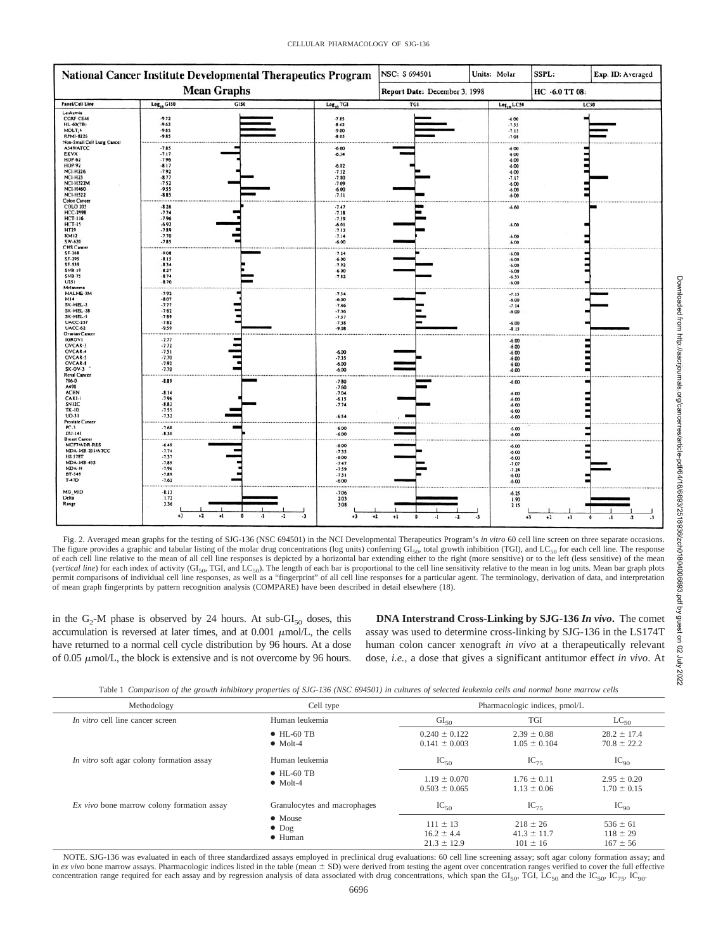| National Cancer Institute Developmental Therapeutics Program                                                                                                                                                                                                                                                                                                                                                                                                                                                                  |                                                                                      |                                                      |                                                                                    | NSC: S 694501                 | Units: Molar    |                                                                                      | SSPL:           | Exp. ID: Averaged |
|-------------------------------------------------------------------------------------------------------------------------------------------------------------------------------------------------------------------------------------------------------------------------------------------------------------------------------------------------------------------------------------------------------------------------------------------------------------------------------------------------------------------------------|--------------------------------------------------------------------------------------|------------------------------------------------------|------------------------------------------------------------------------------------|-------------------------------|-----------------|--------------------------------------------------------------------------------------|-----------------|-------------------|
| <b>Mean Graphs</b>                                                                                                                                                                                                                                                                                                                                                                                                                                                                                                            |                                                                                      |                                                      |                                                                                    | Report Date: December 3, 1998 |                 |                                                                                      | HC -6.0 TT 08:  |                   |
| Panel/Cell Line                                                                                                                                                                                                                                                                                                                                                                                                                                                                                                               | $Log_{10}$ G150                                                                      | G150                                                 | $Log_{10}$ TGI                                                                     | TGI                           | $Log_{10}$ LC50 |                                                                                      | LC50            |                   |
| Leukemia<br><b>CCRF-CEM</b><br><b>HL-60(TB)</b><br>MOLT, 4<br>RPMI-8226                                                                                                                                                                                                                                                                                                                                                                                                                                                       | $-9.72$<br>$-962$<br>.9.85<br>$-9.85$                                                |                                                      | $-7.85$<br>$-8.62$<br>$-9.00$<br>$-8.05$                                           |                               |                 | $-6.00$<br>.7.55<br>.7.15<br>.7.08                                                   |                 |                   |
| Non-Small Cell Lung Cancer<br>A549/ATCC<br>EKVX<br><b>HOP-62</b><br><b>HOP.92</b><br><b>NCI-H226</b><br><b>NCI-H23</b><br><b>NCI-H322M</b><br><b>NCI-H460</b><br><b>NCI-H522</b><br><b>Colon Cancer</b><br><b>COLO 205</b><br><b>HCC-2998</b><br><b>HCT-116</b><br>$HCT-15$<br><b>HT29</b><br><b>KM12</b><br>SW-620<br><b>CNS Cancer</b><br>SF-268<br>SF-295<br>SF-539<br><b>SNB-19</b><br>SNB-75<br>U251<br>Melanoma<br>MALME-3M<br>M14<br>SK-MEL-2<br>SK-MEL-28<br>SK-MEL-5<br><b>UACC-257</b><br>UACC-62<br>Ovarian Cancer | $-7.85$<br>$-7.17$<br>$-7.96$<br>$-8.17$<br>$-7.92$<br>$-8.77$<br>$-7.52$<br>$-9.55$ |                                                      | $-6.00$<br>$-6.34$<br>$-6.82$<br>$-732$<br>$-7.80$<br>$-7.09$<br>$-6.00$           |                               |                 | $-6.00$<br>$-6.00$<br>$-6.00$<br>$-6.00$<br>$-6.00$<br>$-7.17$<br>$-6.00$<br>$-6.00$ |                 |                   |
|                                                                                                                                                                                                                                                                                                                                                                                                                                                                                                                               | $-8.85$<br>$-8.26$<br>$-7.74$<br>$-7.96$<br>$-6.92$<br>$-7.89$<br>$-7.70$<br>$-7.85$ |                                                      | .7.51<br>$-7.47$<br>$-7.38$<br>$-7.59$<br>$-6.01$<br>$-7.52$<br>$-7.14$<br>$-6.00$ |                               |                 | $-6.00$<br>$-6.60$<br>.6.00<br>$-6.00$<br>$-6.00$                                    |                 |                   |
|                                                                                                                                                                                                                                                                                                                                                                                                                                                                                                                               | $-9.08$<br>$-8.15$<br>$-8.34$<br>$-8.27$<br>$-8.74$<br>$-8.70$                       |                                                      | $-7.24$<br>$-6.00$<br>$-7.92$<br>$-6.00$<br>$-7.82$                                |                               |                 | $-6.00$<br>$-6.00$<br>$-6.00$<br>$-6.00$<br>$-6.33$<br>$-6.00$                       |                 |                   |
|                                                                                                                                                                                                                                                                                                                                                                                                                                                                                                                               | $-7.92$<br>$-8.07$<br>$-7.77$<br>$-7.82$<br>$-7.89$<br>$-7.82$<br>.9.59<br>          |                                                      | $-7.54$<br>$-6.00$<br>.7.46<br>$-7.36$<br>$-7.57$<br>$-7.38$<br>$-9.08$            |                               |                 | $-7.15$<br>$-6.00$<br>$-7.14$<br>$-6.00$<br>$-6.00$<br>$-8.15$                       |                 |                   |
| <b>IGROVI</b><br>OVCAR-3<br>OVCAR-4<br>OVCAR-5<br><b>OVCAR-8</b><br>SK-OV-3<br>Renal Cancer                                                                                                                                                                                                                                                                                                                                                                                                                                   | $-7.77$<br>$-7.72$<br>$-7.51$<br>$-7.70$<br>$-7.92$<br>$-7.70$                       |                                                      | $-6.00$<br>$-7.35$<br>$-6.00$<br>$-6.00$                                           |                               |                 | $-6.00$<br>$-6.00$<br>$-6.00$<br>$-6.00$<br>$-6.00$<br>$-6.00$                       |                 |                   |
| 786-0<br>A498<br><b>ACHN</b><br>CAKI-I<br>SN12C<br>TK-10<br>UO-31<br>Prostate Cancer                                                                                                                                                                                                                                                                                                                                                                                                                                          | $-8.89$<br>$-8.14$<br>.7.96<br>$-8.82$<br>.755<br>$-7.32$                            |                                                      | $-7.80$<br>$-7.60$<br>$-7.04$<br>$-6.15$<br>$-7.74$<br>$-6.54$                     |                               |                 | $-6.00$<br>$-6.00$<br>$-6.00$<br>$-600$<br>$-6.00$<br>$-6.00$                        |                 |                   |
| $PC-3$<br>DU-145<br><b>Breast Cancer</b>                                                                                                                                                                                                                                                                                                                                                                                                                                                                                      | .7.68<br>$-8.30$                                                                     |                                                      | $-6.00$<br>$-6.00$                                                                 |                               |                 | $-6.00$<br>$-6.00$                                                                   |                 |                   |
| <b>MCF7/ADR-RES</b><br>MDA-MB-231/ATCC<br><b>HS 578T</b><br><b>MDA-MB-435</b><br>MDA-N<br>BT-549<br>$T-47D$                                                                                                                                                                                                                                                                                                                                                                                                                   | $-6.49$<br>$-7.74$<br>$-7.37$<br>$-7.89$<br>$-7.96$<br>$-7.89$<br>$-7.62$            |                                                      | $-6.00$<br>$-7.35$<br>$-6.00$<br>$-7.47$<br>$-7.59$<br>$-7.31$<br>$-6.00$          |                               |                 | $-6.00$<br>$-6.00$<br>$-6.00$<br>$-7.07$<br>$-7.24$<br>$-6.00$<br>$-6.00$            |                 |                   |
| MG_MID<br>Delta<br>Range                                                                                                                                                                                                                                                                                                                                                                                                                                                                                                      | $-8.13$<br>1.72<br>3.36<br>$+3$                                                      | $+2$<br>$^{*1}$<br>$\ddot{\phantom{a}}$<br>$\cdot$ 1 | $-7.06$<br>203<br>308<br>$-2$<br>د.<br>$^{+3}$<br>$^{+2}$                          | $^{+1}$<br>o<br>-1<br>$\cdot$ | -3              | $-6.25$<br>1.90<br>2.15<br>$^{+3}$                                                   | $+2$<br>$^{*1}$ |                   |

Fig. 2. Averaged mean graphs for the testing of SJG-136 (NSC 694501) in the NCI Developmental Therapeutics Program's *in vitro* 60 cell line screen on three separate occasions. The figure provides a graphic and tabular listing of the molar drug concentrations (log units) conferring  $GI<sub>50</sub>$ , total growth inhibition (TGI), and LC $_{50}$  for each cell line. The response of each cell line relative to the mean of all cell line responses is depicted by a horizontal bar extending either to the right (more sensitive) or to the left (less sensitive) of the mean (*vertical line*) for each index of activity (GI<sub>50</sub>, TGI, and LC<sub>50</sub>). The length of each bar is proportional to the cell line sensitivity relative to the mean in log units. Mean bar graph plots permit comparisons of individual cell line responses, as well as a "fingerprint" of all cell line responses for a particular agent. The terminology, derivation of data, and interpretation of mean graph fingerprints by pattern recognition analysis (COMPARE) have been described in detail elsewhere (18).

in the  $G_2$ -M phase is observed by 24 hours. At sub-GI<sub>50</sub> doses, this accumulation is reversed at later times, and at  $0.001 \mu m o/L$ , the cells have returned to a normal cell cycle distribution by 96 hours. At a dose of  $0.05 \mu m o/L$ , the block is extensive and is not overcome by 96 hours.

**DNA Interstrand Cross-Linking by SJG-136** *In vivo***.** The comet assay was used to determine cross-linking by SJG-136 in the LS174T human colon cancer xenograft *in vivo* at a therapeutically relevant dose, *i.e.,* a dose that gives a significant antitumor effect *in vivo*. At

|  |  |  |  | Table 1 Comparison of the growth inhibitory properties of SJG-136 (NSC 694501) in cultures of selected leukemia cells and normal bone marrow cells |  |
|--|--|--|--|----------------------------------------------------------------------------------------------------------------------------------------------------|--|
|--|--|--|--|----------------------------------------------------------------------------------------------------------------------------------------------------|--|

| Methodology                                | Cell type                                   | Pharmacologic indices, pmol/L                     |                                                 |                                              |  |
|--------------------------------------------|---------------------------------------------|---------------------------------------------------|-------------------------------------------------|----------------------------------------------|--|
| In vitro cell line cancer screen           | Human leukemia                              | GI <sub>50</sub>                                  | <b>TGI</b>                                      | $LC_{50}$                                    |  |
|                                            | $\bullet$ HL-60 TB<br>$\bullet$ Molt-4      | $0.240 \pm 0.122$<br>$0.141 \pm 0.003$            | $2.39 \pm 0.88$<br>$1.05 \pm 0.104$             | $28.2 \pm 17.4$<br>$70.8 \pm 22.2$           |  |
| In vitro soft agar colony formation assay  | Human leukemia                              | $IC_{50}$                                         | $IC_{75}$                                       | $IC_{90}$                                    |  |
|                                            | $\bullet$ HL-60 TB<br>$\bullet$ Molt-4      | $1.19 \pm 0.070$<br>$0.503 \pm 0.065$             | $1.76 \pm 0.11$<br>$1.13 \pm 0.06$              | $2.95 \pm 0.20$<br>$1.70 \pm 0.15$           |  |
| Ex vivo bone marrow colony formation assay | Granulocytes and macrophages                | $IC_{50}$                                         | $IC_{75}$                                       | $IC_{90}$                                    |  |
|                                            | • Mouse<br>$\bullet$ Dog<br>$\bullet$ Human | $111 \pm 13$<br>$16.2 \pm 4.4$<br>$21.3 \pm 12.9$ | $218 \pm 26$<br>$41.3 \pm 11.7$<br>$101 \pm 16$ | $536 \pm 61$<br>$118 \pm 29$<br>$167 \pm 56$ |  |

NOTE. SJG-136 was evaluated in each of three standardized assays employed in preclinical drug evaluations: 60 cell line screening assay; soft agar colony formation assay; and in *ex vivo* bone marrow assays. Pharmacologic indices listed in the table (mean  $\pm$  SD) were derived from testing the agent over concentration ranges verified to cover the full effective concentration range required for each assay and by regression analysis of data associated with drug concentrations, which span the GI<sub>50</sub>, TGI, LC<sub>50</sub> and the IC<sub>50</sub>, IC<sub>75</sub>, IC<sub>90</sub>.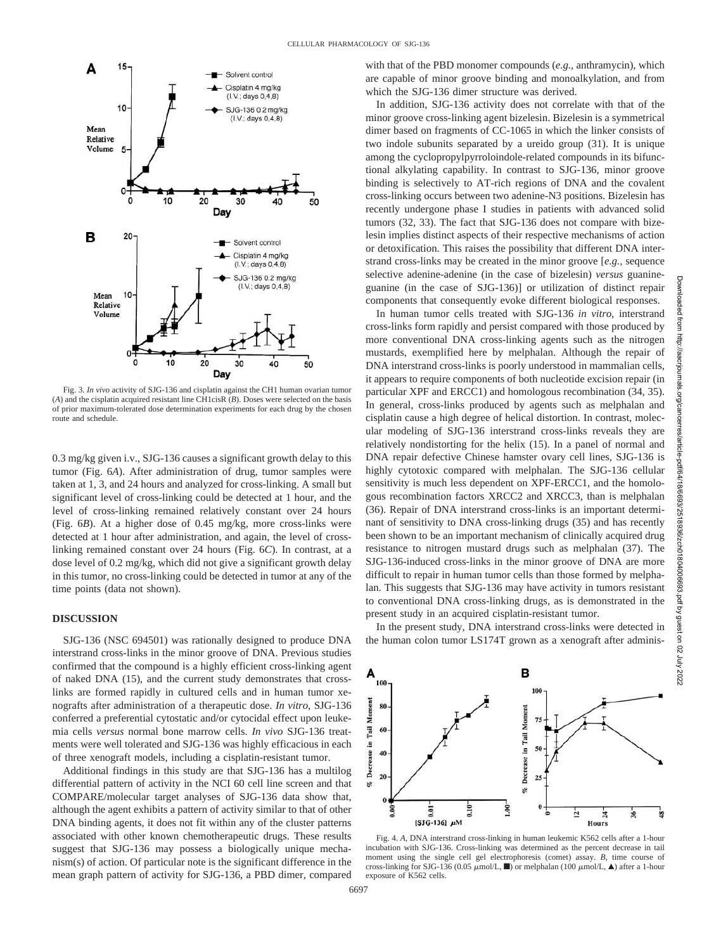

Fig. 3. *In vivo* activity of SJG-136 and cisplatin against the CH1 human ovarian tumor (*A*) and the cisplatin acquired resistant line CH1cisR (*B*). Doses were selected on the basis of prior maximum-tolerated dose determination experiments for each drug by the chosen route and schedule.

0.3 mg/kg given i.v., SJG-136 causes a significant growth delay to this tumor (Fig. 6*A*). After administration of drug, tumor samples were taken at 1, 3, and 24 hours and analyzed for cross-linking. A small but significant level of cross-linking could be detected at 1 hour, and the level of cross-linking remained relatively constant over 24 hours (Fig. 6*B*). At a higher dose of 0.45 mg/kg, more cross-links were detected at 1 hour after administration, and again, the level of crosslinking remained constant over 24 hours (Fig. 6*C*). In contrast, at a dose level of 0.2 mg/kg, which did not give a significant growth delay in this tumor, no cross-linking could be detected in tumor at any of the time points (data not shown).

## **DISCUSSION**

SJG-136 (NSC 694501) was rationally designed to produce DNA interstrand cross-links in the minor groove of DNA. Previous studies confirmed that the compound is a highly efficient cross-linking agent of naked DNA (15), and the current study demonstrates that crosslinks are formed rapidly in cultured cells and in human tumor xenografts after administration of a therapeutic dose. *In vitro*, SJG-136 conferred a preferential cytostatic and/or cytocidal effect upon leukemia cells *versus* normal bone marrow cells. *In vivo* SJG-136 treatments were well tolerated and SJG-136 was highly efficacious in each of three xenograft models, including a cisplatin-resistant tumor.

Additional findings in this study are that SJG-136 has a multilog differential pattern of activity in the NCI 60 cell line screen and that COMPARE/molecular target analyses of SJG-136 data show that, although the agent exhibits a pattern of activity similar to that of other DNA binding agents, it does not fit within any of the cluster patterns associated with other known chemotherapeutic drugs. These results suggest that SJG-136 may possess a biologically unique mechanism(s) of action. Of particular note is the significant difference in the mean graph pattern of activity for SJG-136, a PBD dimer, compared with that of the PBD monomer compounds (*e.g.,* anthramycin), which are capable of minor groove binding and monoalkylation, and from which the SJG-136 dimer structure was derived.

In addition, SJG-136 activity does not correlate with that of the minor groove cross-linking agent bizelesin. Bizelesin is a symmetrical dimer based on fragments of CC-1065 in which the linker consists of two indole subunits separated by a ureido group (31). It is unique among the cyclopropylpyrroloindole-related compounds in its bifunctional alkylating capability. In contrast to SJG-136, minor groove binding is selectively to AT-rich regions of DNA and the covalent cross-linking occurs between two adenine-N3 positions. Bizelesin has recently undergone phase I studies in patients with advanced solid tumors (32, 33). The fact that SJG-136 does not compare with bizelesin implies distinct aspects of their respective mechanisms of action or detoxification. This raises the possibility that different DNA interstrand cross-links may be created in the minor groove [*e.g.,* sequence selective adenine-adenine (in the case of bizelesin) *versus* guanineguanine (in the case of SJG-136)] or utilization of distinct repair components that consequently evoke different biological responses.

In human tumor cells treated with SJG-136 *in vitro*, interstrand cross-links form rapidly and persist compared with those produced by more conventional DNA cross-linking agents such as the nitrogen mustards, exemplified here by melphalan. Although the repair of DNA interstrand cross-links is poorly understood in mammalian cells, it appears to require components of both nucleotide excision repair (in particular XPF and ERCC1) and homologous recombination (34, 35). In general, cross-links produced by agents such as melphalan and cisplatin cause a high degree of helical distortion. In contrast, molecular modeling of SJG-136 interstrand cross-links reveals they are relatively nondistorting for the helix (15). In a panel of normal and DNA repair defective Chinese hamster ovary cell lines, SJG-136 is highly cytotoxic compared with melphalan. The SJG-136 cellular sensitivity is much less dependent on XPF-ERCC1, and the homologous recombination factors XRCC2 and XRCC3, than is melphalan (36). Repair of DNA interstrand cross-links is an important determinant of sensitivity to DNA cross-linking drugs (35) and has recently been shown to be an important mechanism of clinically acquired drug resistance to nitrogen mustard drugs such as melphalan (37). The SJG-136-induced cross-links in the minor groove of DNA are more difficult to repair in human tumor cells than those formed by melphalan. This suggests that SJG-136 may have activity in tumors resistant to conventional DNA cross-linking drugs, as is demonstrated in the present study in an acquired cisplatin-resistant tumor.

In the present study, DNA interstrand cross-links were detected in the human colon tumor LS174T grown as a xenograft after adminis-



Fig. 4. *A*, DNA interstrand cross-linking in human leukemic K562 cells after a 1-hour incubation with SJG-136. Cross-linking was determined as the percent decrease in tail moment using the single cell gel electrophoresis (comet) assay. *B*, time course of cross-linking for SJG-136 (0.05  $\mu$ mol/L,  $\blacksquare$ ) or melphalan (100  $\mu$ mol/L,  $\blacktriangle$ ) after a 1-hour exposure of K562 cells.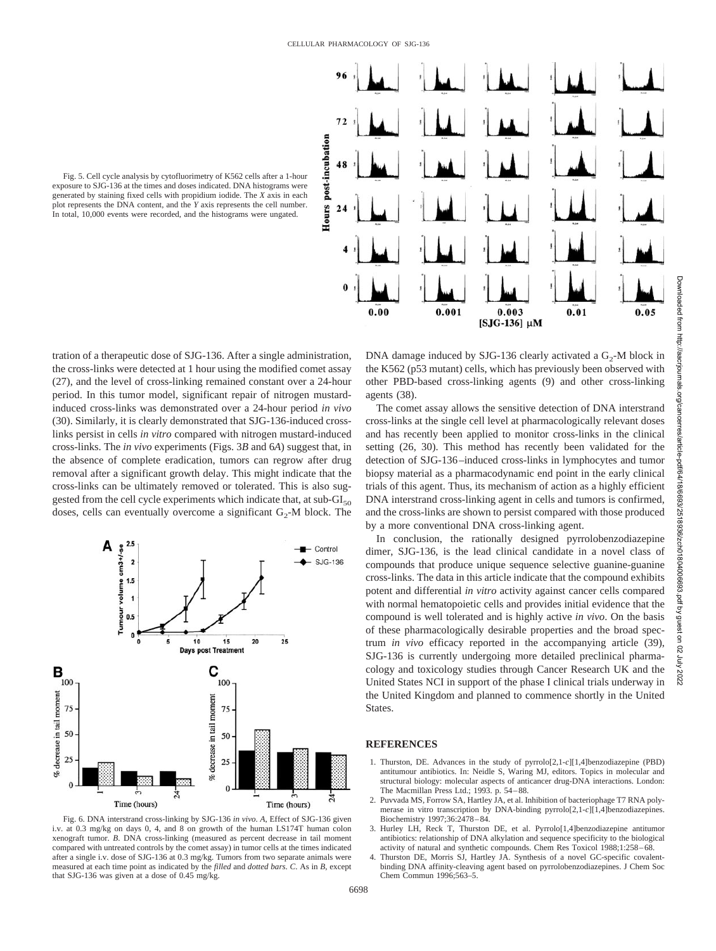

Fig. 5. Cell cycle analysis by cytofluorimetry of K562 cells after a 1-hour exposure to SJG-136 at the times and doses indicated. DNA histograms were generated by staining fixed cells with propidium iodide. The *X* axis in each plot represents the DNA content, and the *Y* axis represents the cell number. In total, 10,000 events were recorded, and the histograms were ungated.

tration of a therapeutic dose of SJG-136. After a single administration, the cross-links were detected at 1 hour using the modified comet assay (27), and the level of cross-linking remained constant over a 24-hour period. In this tumor model, significant repair of nitrogen mustardinduced cross-links was demonstrated over a 24-hour period *in vivo* (30). Similarly, it is clearly demonstrated that SJG-136-induced crosslinks persist in cells *in vitro* compared with nitrogen mustard-induced cross-links. The *in vivo* experiments (Figs. 3*B* and 6*A*) suggest that, in the absence of complete eradication, tumors can regrow after drug removal after a significant growth delay. This might indicate that the cross-links can be ultimately removed or tolerated. This is also suggested from the cell cycle experiments which indicate that, at  $sub-GI<sub>50</sub>$ doses, cells can eventually overcome a significant  $G_2$ -M block. The



Fig. 6. DNA interstrand cross-linking by SJG-136 *in vivo*. *A*, Effect of SJG-136 given i.v. at 0.3 mg/kg on days 0, 4, and 8 on growth of the human LS174T human colon xenograft tumor. *B*. DNA cross-linking (measured as percent decrease in tail moment compared with untreated controls by the comet assay) in tumor cells at the times indicated after a single i.v. dose of SJG-136 at 0.3 mg/kg. Tumors from two separate animals were measured at each time point as indicated by the *filled* and *dotted bars*. *C*. As in *B*, except that SJG-136 was given at a dose of 0.45 mg/kg.

DNA damage induced by SJG-136 clearly activated a  $G_2$ -M block in the K562 (p53 mutant) cells, which has previously been observed with other PBD-based cross-linking agents (9) and other cross-linking agents (38).

The comet assay allows the sensitive detection of DNA interstrand cross-links at the single cell level at pharmacologically relevant doses and has recently been applied to monitor cross-links in the clinical setting (26, 30). This method has recently been validated for the detection of SJG-136–induced cross-links in lymphocytes and tumor biopsy material as a pharmacodynamic end point in the early clinical trials of this agent. Thus, its mechanism of action as a highly efficient DNA interstrand cross-linking agent in cells and tumors is confirmed, and the cross-links are shown to persist compared with those produced by a more conventional DNA cross-linking agent.

In conclusion, the rationally designed pyrrolobenzodiazepine dimer, SJG-136, is the lead clinical candidate in a novel class of compounds that produce unique sequence selective guanine-guanine cross-links. The data in this article indicate that the compound exhibits potent and differential *in vitro* activity against cancer cells compared with normal hematopoietic cells and provides initial evidence that the compound is well tolerated and is highly active *in vivo*. On the basis of these pharmacologically desirable properties and the broad spectrum *in vivo* efficacy reported in the accompanying article (39), SJG-136 is currently undergoing more detailed preclinical pharmacology and toxicology studies through Cancer Research UK and the United States NCI in support of the phase I clinical trials underway in the United Kingdom and planned to commence shortly in the United States.

#### **REFERENCES**

- 1. Thurston, DE. Advances in the study of pyrrolo[2,1-*c*][1,4]benzodiazepine (PBD) antitumour antibiotics. In: Neidle S, Waring MJ, editors. Topics in molecular and structural biology: molecular aspects of anticancer drug-DNA interactions. London: The Macmillan Press Ltd.; 1993. p. 54–88.
- 2. Puvvada MS, Forrow SA, Hartley JA, et al. Inhibition of bacteriophage T7 RNA polymerase in vitro transcription by DNA-binding pyrrolo[2,1-*c*][1,4]benzodiazepines. Biochemistry 1997;36:2478–84.
- 3. Hurley LH, Reck T, Thurston DE, et al. Pyrrolo[1,4]benzodiazepine antitumor antibiotics: relationship of DNA alkylation and sequence specificity to the biological activity of natural and synthetic compounds. Chem Res Toxicol 1988;1:258–68.
- 4. Thurston DE, Morris SJ, Hartley JA. Synthesis of a novel GC-specific covalentbinding DNA affinity-cleaving agent based on pyrrolobenzodiazepines. J Chem Soc Chem Commun 1996;563–5.